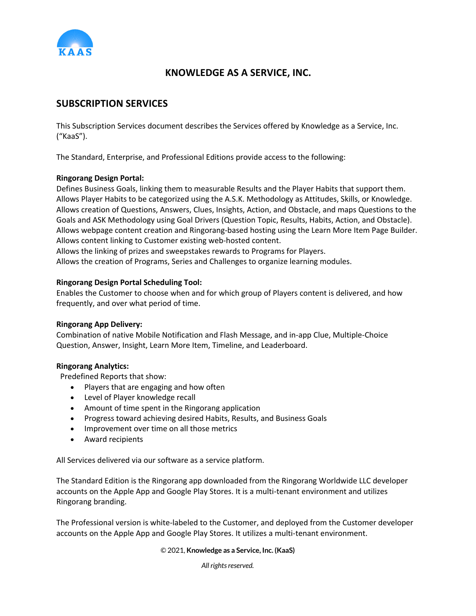

# **KNOWLEDGE AS A SERVICE, INC.**

## **SUBSCRIPTION SERVICES**

This Subscription Services document describes the Services offered by Knowledge as a Service, Inc. ("KaaS").

The Standard, Enterprise, and Professional Editions provide access to the following:

### **Ringorang Design Portal:**

Defines Business Goals, linking them to measurable Results and the Player Habits that support them. Allows Player Habits to be categorized using the A.S.K. Methodology as Attitudes, Skills, or Knowledge. Allows creation of Questions, Answers, Clues, Insights, Action, and Obstacle, and maps Questions to the Goals and ASK Methodology using Goal Drivers (Question Topic, Results, Habits, Action, and Obstacle). Allows webpage content creation and Ringorang-based hosting using the Learn More Item Page Builder. Allows content linking to Customer existing web-hosted content.

Allows the linking of prizes and sweepstakes rewards to Programs for Players.

Allows the creation of Programs, Series and Challenges to organize learning modules.

### **Ringorang Design Portal Scheduling Tool:**

Enables the Customer to choose when and for which group of Players content is delivered, and how frequently, and over what period of time.

### **Ringorang App Delivery:**

Combination of native Mobile Notification and Flash Message, and in-app Clue, Multiple-Choice Question, Answer, Insight, Learn More Item, Timeline, and Leaderboard.

### **Ringorang Analytics:**

Predefined Reports that show:

- Players that are engaging and how often
- Level of Player knowledge recall
- Amount of time spent in the Ringorang application
- Progress toward achieving desired Habits, Results, and Business Goals
- Improvement over time on all those metrics
- Award recipients

All Services delivered via our software as a service platform.

The Standard Edition is the Ringorang app downloaded from the Ringorang Worldwide LLC developer accounts on the Apple App and Google Play Stores. It is a multi-tenant environment and utilizes Ringorang branding.

The Professional version is white-labeled to the Customer, and deployed from the Customer developer accounts on the Apple App and Google Play Stores. It utilizes a multi-tenant environment.

#### © 2021, **Knowledge as a Service, Inc. (KaaS)**

*All rights reserved.*